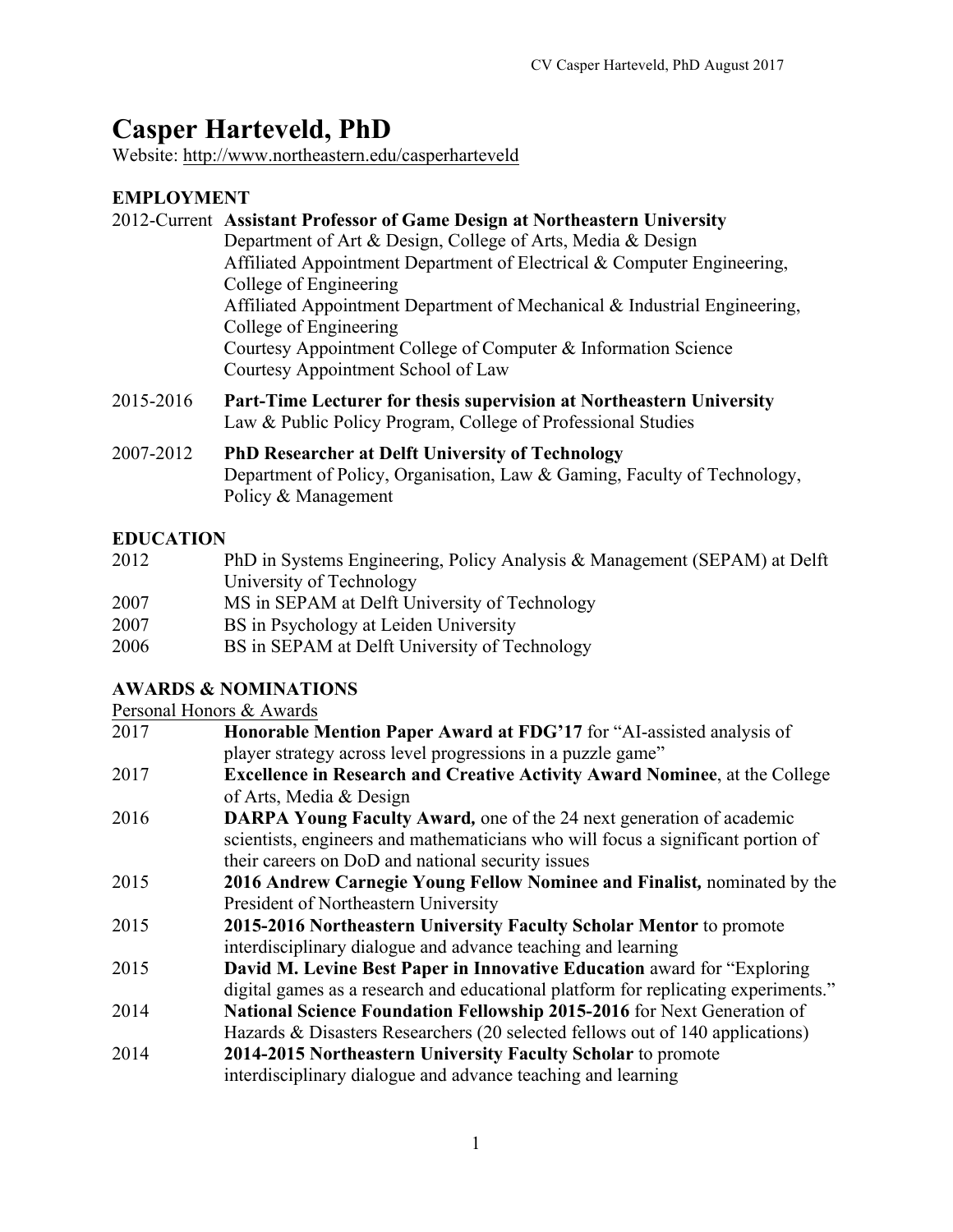# **Casper Harteveld, PhD**

Website: http://www.northeastern.edu/casperharteveld

# **EMPLOYMENT**

|           | 2012-Current Assistant Professor of Game Design at Northeastern University                                                  |
|-----------|-----------------------------------------------------------------------------------------------------------------------------|
|           | Department of Art & Design, College of Arts, Media & Design                                                                 |
|           | Affiliated Appointment Department of Electrical & Computer Engineering,                                                     |
|           | College of Engineering                                                                                                      |
|           | Affiliated Appointment Department of Mechanical & Industrial Engineering,                                                   |
|           | College of Engineering                                                                                                      |
|           | Courtesy Appointment College of Computer & Information Science                                                              |
|           | Courtesy Appointment School of Law                                                                                          |
| 0.0150016 | $\mathbf{D}$ and $\mathbf{E}$ and $\mathbf{E}$ and $\mathbf{E}$<br>$\bullet$ . The set of $\bullet$ is the set of $\bullet$ |

- 2015-2016 **Part-Time Lecturer for thesis supervision at Northeastern University** Law & Public Policy Program, College of Professional Studies
- 2007-2012 **PhD Researcher at Delft University of Technology** Department of Policy, Organisation, Law & Gaming, Faculty of Technology, Policy & Management

## **EDUCATION**

| 2012 | PhD in Systems Engineering, Policy Analysis & Management (SEPAM) at Delft |
|------|---------------------------------------------------------------------------|
|      | University of Technology                                                  |
| 2007 | MS in SEPAM at Delft University of Technology                             |
| 2007 | BS in Psychology at Leiden University                                     |
| 2006 | BS in SEPAM at Delft University of Technology                             |

## **AWARDS & NOMINATIONS**

Personal Honors & Awards

|      | $1$ croomar riomors $\alpha$ rivards                                               |
|------|------------------------------------------------------------------------------------|
| 2017 | Honorable Mention Paper Award at FDG'17 for "AI-assisted analysis of               |
|      | player strategy across level progressions in a puzzle game"                        |
| 2017 | <b>Excellence in Research and Creative Activity Award Nominee, at the College</b>  |
|      | of Arts, Media & Design                                                            |
| 2016 | <b>DARPA Young Faculty Award, one of the 24 next generation of academic</b>        |
|      | scientists, engineers and mathematicians who will focus a significant portion of   |
|      | their careers on DoD and national security issues                                  |
| 2015 | 2016 Andrew Carnegie Young Fellow Nominee and Finalist, nominated by the           |
|      | President of Northeastern University                                               |
| 2015 | 2015-2016 Northeastern University Faculty Scholar Mentor to promote                |
|      | interdisciplinary dialogue and advance teaching and learning                       |
| 2015 | David M. Levine Best Paper in Innovative Education award for "Exploring"           |
|      | digital games as a research and educational platform for replicating experiments." |
| 2014 | National Science Foundation Fellowship 2015-2016 for Next Generation of            |
|      | Hazards & Disasters Researchers (20 selected fellows out of 140 applications)      |
| 2014 | 2014-2015 Northeastern University Faculty Scholar to promote                       |
|      | interdisciplinary dialogue and advance teaching and learning                       |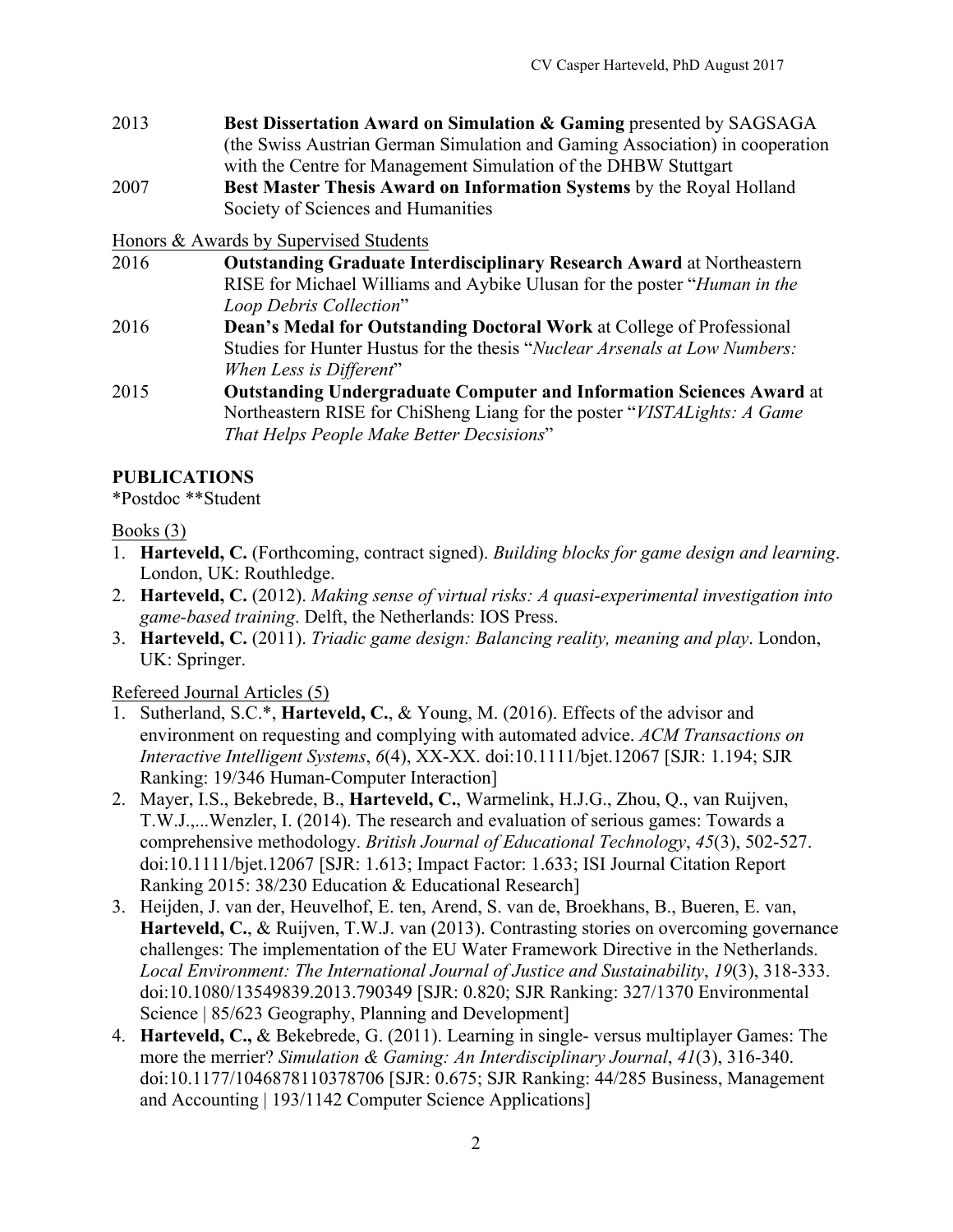- 2013 **Best Dissertation Award on Simulation & Gaming** presented by SAGSAGA (the Swiss Austrian German Simulation and Gaming Association) in cooperation with the Centre for Management Simulation of the DHBW Stuttgart
- 2007 **Best Master Thesis Award on Information Systems** by the Royal Holland Society of Sciences and Humanities

Honors & Awards by Supervised Students

- 2016 **Outstanding Graduate Interdisciplinary Research Award** at Northeastern RISE for Michael Williams and Aybike Ulusan for the poster "*Human in the Loop Debris Collection*"
- 2016 **Dean's Medal for Outstanding Doctoral Work** at College of Professional Studies for Hunter Hustus for the thesis "*Nuclear Arsenals at Low Numbers: When Less is Different*"
- 2015 **Outstanding Undergraduate Computer and Information Sciences Award** at Northeastern RISE for ChiSheng Liang for the poster "*VISTALights: A Game That Helps People Make Better Decsisions*"

# **PUBLICATIONS**

\*Postdoc \*\*Student

#### Books (3)

- 1. **Harteveld, C.** (Forthcoming, contract signed). *Building blocks for game design and learning*. London, UK: Routhledge.
- 2. **Harteveld, C.** (2012). *Making sense of virtual risks: A quasi-experimental investigation into game-based training*. Delft, the Netherlands: IOS Press.
- 3. **Harteveld, C.** (2011). *Triadic game design: Balancing reality, meaning and play*. London, UK: Springer.

## Refereed Journal Articles (5)

- 1. Sutherland, S.C.\*, **Harteveld, C.**, & Young, M. (2016). Effects of the advisor and environment on requesting and complying with automated advice. *ACM Transactions on Interactive Intelligent Systems*, *6*(4), XX-XX. doi:10.1111/bjet.12067 [SJR: 1.194; SJR Ranking: 19/346 Human-Computer Interaction]
- 2. Mayer, I.S., Bekebrede, B., **Harteveld, C.**, Warmelink, H.J.G., Zhou, Q., van Ruijven, T.W.J.,...Wenzler, I. (2014). The research and evaluation of serious games: Towards a comprehensive methodology. *British Journal of Educational Technology*, *45*(3), 502-527. doi:10.1111/bjet.12067 [SJR: 1.613; Impact Factor: 1.633; ISI Journal Citation Report Ranking 2015: 38/230 Education & Educational Research]
- 3. Heijden, J. van der, Heuvelhof, E. ten, Arend, S. van de, Broekhans, B., Bueren, E. van, **Harteveld, C.**, & Ruijven, T.W.J. van (2013). Contrasting stories on overcoming governance challenges: The implementation of the EU Water Framework Directive in the Netherlands. *Local Environment: The International Journal of Justice and Sustainability*, *19*(3), 318-333. doi:10.1080/13549839.2013.790349 [SJR: 0.820; SJR Ranking: 327/1370 Environmental Science | 85/623 Geography, Planning and Development
- 4. **Harteveld, C.,** & Bekebrede, G. (2011). Learning in single- versus multiplayer Games: The more the merrier? *Simulation & Gaming: An Interdisciplinary Journal*, *41*(3), 316-340. doi:10.1177/1046878110378706 [SJR: 0.675; SJR Ranking: 44/285 Business, Management and Accounting | 193/1142 Computer Science Applications]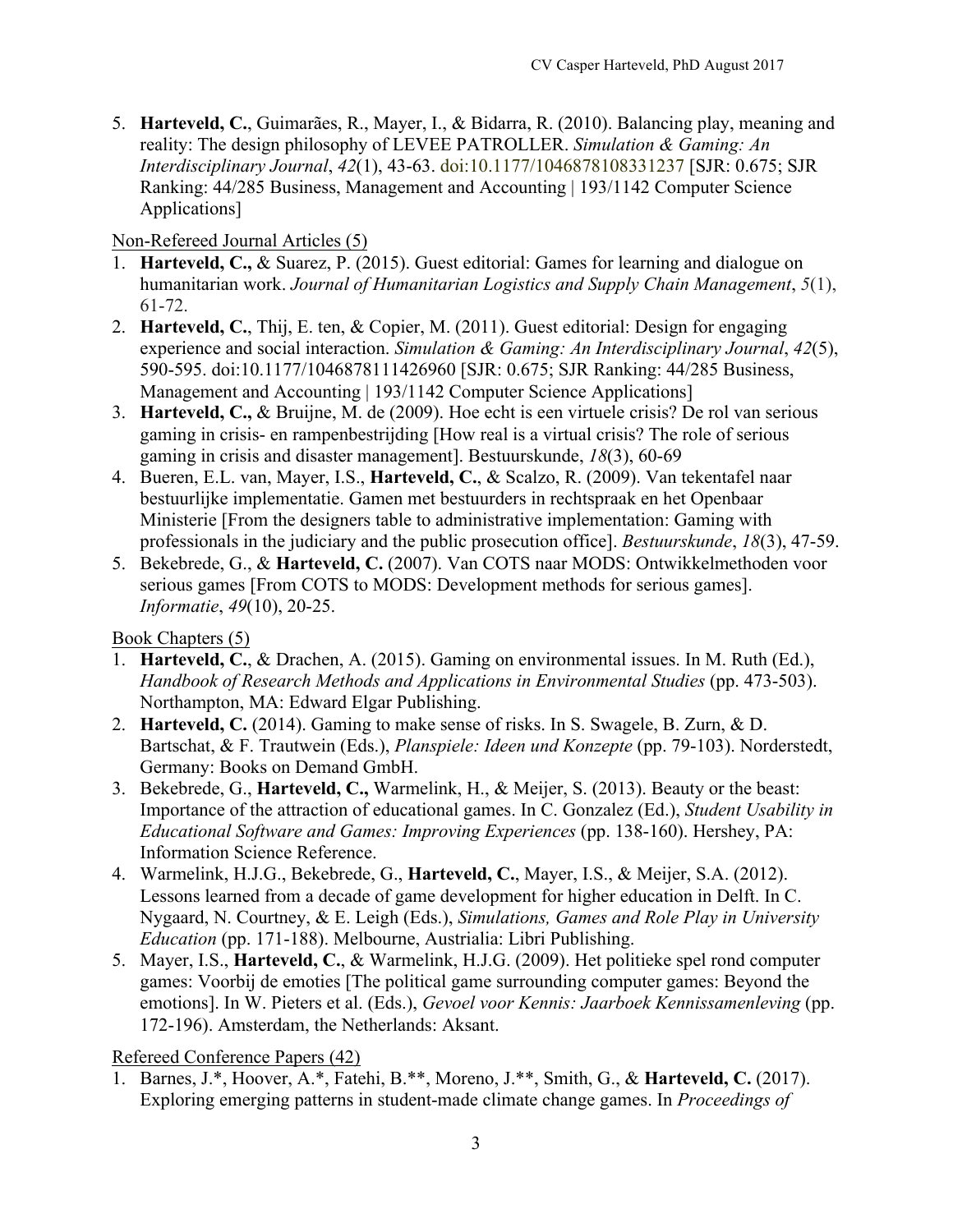5. **Harteveld, C.**, Guimarães, R., Mayer, I., & Bidarra, R. (2010). Balancing play, meaning and reality: The design philosophy of LEVEE PATROLLER. *Simulation & Gaming: An Interdisciplinary Journal*, *42*(1), 43-63. doi:10.1177/1046878108331237 [SJR: 0.675; SJR Ranking: 44/285 Business, Management and Accounting | 193/1142 Computer Science Applications]

Non-Refereed Journal Articles (5)

- 1. **Harteveld, C.,** & Suarez, P. (2015). Guest editorial: Games for learning and dialogue on humanitarian work. *Journal of Humanitarian Logistics and Supply Chain Management*, *5*(1), 61-72.
- 2. **Harteveld, C.**, Thij, E. ten, & Copier, M. (2011). Guest editorial: Design for engaging experience and social interaction. *Simulation & Gaming: An Interdisciplinary Journal*, *42*(5), 590-595. doi:10.1177/1046878111426960 [SJR: 0.675; SJR Ranking: 44/285 Business, Management and Accounting | 193/1142 Computer Science Applications]
- 3. **Harteveld, C.,** & Bruijne, M. de (2009). Hoe echt is een virtuele crisis? De rol van serious gaming in crisis- en rampenbestrijding [How real is a virtual crisis? The role of serious gaming in crisis and disaster management]. Bestuurskunde, *18*(3), 60-69
- 4. Bueren, E.L. van, Mayer, I.S., **Harteveld, C.**, & Scalzo, R. (2009). Van tekentafel naar bestuurlijke implementatie. Gamen met bestuurders in rechtspraak en het Openbaar Ministerie [From the designers table to administrative implementation: Gaming with professionals in the judiciary and the public prosecution office]. *Bestuurskunde*, *18*(3), 47-59.
- 5. Bekebrede, G., & **Harteveld, C.** (2007). Van COTS naar MODS: Ontwikkelmethoden voor serious games [From COTS to MODS: Development methods for serious games]. *Informatie*, *49*(10), 20-25.

Book Chapters (5)

- 1. **Harteveld, C.**, & Drachen, A. (2015). Gaming on environmental issues. In M. Ruth (Ed.), *Handbook of Research Methods and Applications in Environmental Studies* (pp. 473-503). Northampton, MA: Edward Elgar Publishing.
- 2. **Harteveld, C.** (2014). Gaming to make sense of risks. In S. Swagele, B. Zurn, & D. Bartschat, & F. Trautwein (Eds.), *Planspiele: Ideen und Konzepte* (pp. 79-103). Norderstedt, Germany: Books on Demand GmbH.
- 3. Bekebrede, G., **Harteveld, C.,** Warmelink, H., & Meijer, S. (2013). Beauty or the beast: Importance of the attraction of educational games. In C. Gonzalez (Ed.), *Student Usability in Educational Software and Games: Improving Experiences* (pp. 138-160). Hershey, PA: Information Science Reference.
- 4. Warmelink, H.J.G., Bekebrede, G., **Harteveld, C.**, Mayer, I.S., & Meijer, S.A. (2012). Lessons learned from a decade of game development for higher education in Delft. In C. Nygaard, N. Courtney, & E. Leigh (Eds.), *Simulations, Games and Role Play in University Education* (pp. 171-188). Melbourne, Austrialia: Libri Publishing.
- 5. Mayer, I.S., **Harteveld, C.**, & Warmelink, H.J.G. (2009). Het politieke spel rond computer games: Voorbij de emoties [The political game surrounding computer games: Beyond the emotions]. In W. Pieters et al. (Eds.), *Gevoel voor Kennis: Jaarboek Kennissamenleving* (pp. 172-196). Amsterdam, the Netherlands: Aksant.

Refereed Conference Papers (42)

1. Barnes, J.\*, Hoover, A.\*, Fatehi, B.\*\*, Moreno, J.\*\*, Smith, G., & **Harteveld, C.** (2017). Exploring emerging patterns in student-made climate change games. In *Proceedings of*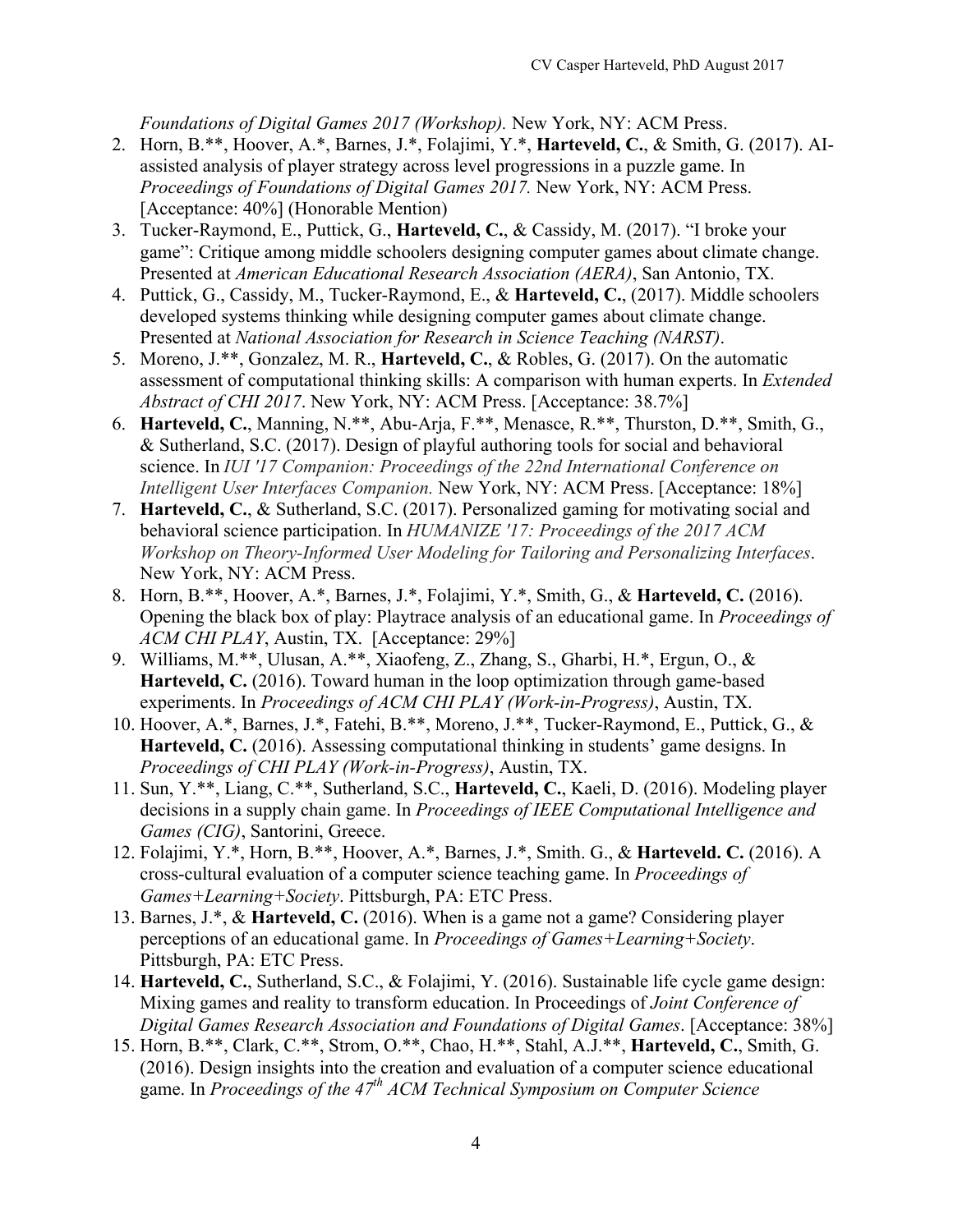*Foundations of Digital Games 2017 (Workshop).* New York, NY: ACM Press.

- 2. Horn, B.\*\*, Hoover, A.\*, Barnes, J.\*, Folajimi, Y.\*, **Harteveld, C.**, & Smith, G. (2017). AIassisted analysis of player strategy across level progressions in a puzzle game. In *Proceedings of Foundations of Digital Games 2017.* New York, NY: ACM Press. [Acceptance: 40%] (Honorable Mention)
- 3. Tucker-Raymond, E., Puttick, G., **Harteveld, C.**, & Cassidy, M. (2017). "I broke your game": Critique among middle schoolers designing computer games about climate change. Presented at *American Educational Research Association (AERA)*, San Antonio, TX.
- 4. Puttick, G., Cassidy, M., Tucker-Raymond, E., & **Harteveld, C.**, (2017). Middle schoolers developed systems thinking while designing computer games about climate change. Presented at *National Association for Research in Science Teaching (NARST)*.
- 5. Moreno, J.\*\*, Gonzalez, M. R., **Harteveld, C.**, & Robles, G. (2017). On the automatic assessment of computational thinking skills: A comparison with human experts. In *Extended Abstract of CHI 2017*. New York, NY: ACM Press. [Acceptance: 38.7%]
- 6. **Harteveld, C.**, Manning, N.\*\*, Abu-Arja, F.\*\*, Menasce, R.\*\*, Thurston, D.\*\*, Smith, G., & Sutherland, S.C. (2017). Design of playful authoring tools for social and behavioral science. In *IUI '17 Companion: Proceedings of the 22nd International Conference on Intelligent User Interfaces Companion.* New York, NY: ACM Press. [Acceptance: 18%]
- 7. **Harteveld, C.**, & Sutherland, S.C. (2017). Personalized gaming for motivating social and behavioral science participation. In *HUMANIZE '17: Proceedings of the 2017 ACM Workshop on Theory-Informed User Modeling for Tailoring and Personalizing Interfaces*. New York, NY: ACM Press.
- 8. Horn, B.\*\*, Hoover, A.\*, Barnes, J.\*, Folajimi, Y.\*, Smith, G., & **Harteveld, C.** (2016). Opening the black box of play: Playtrace analysis of an educational game. In *Proceedings of ACM CHI PLAY*, Austin, TX. [Acceptance: 29%]
- 9. Williams, M.\*\*, Ulusan, A.\*\*, Xiaofeng, Z., Zhang, S., Gharbi, H.\*, Ergun, O., & **Harteveld, C.** (2016). Toward human in the loop optimization through game-based experiments. In *Proceedings of ACM CHI PLAY (Work-in-Progress)*, Austin, TX.
- 10. Hoover, A.\*, Barnes, J.\*, Fatehi, B.\*\*, Moreno, J.\*\*, Tucker-Raymond, E., Puttick, G., & **Harteveld, C.** (2016). Assessing computational thinking in students' game designs. In *Proceedings of CHI PLAY (Work-in-Progress)*, Austin, TX.
- 11. Sun, Y.\*\*, Liang, C.\*\*, Sutherland, S.C., **Harteveld, C.**, Kaeli, D. (2016). Modeling player decisions in a supply chain game. In *Proceedings of IEEE Computational Intelligence and Games (CIG)*, Santorini, Greece.
- 12. Folajimi, Y.\*, Horn, B.\*\*, Hoover, A.\*, Barnes, J.\*, Smith. G., & **Harteveld. C.** (2016). A cross-cultural evaluation of a computer science teaching game. In *Proceedings of Games+Learning+Society*. Pittsburgh, PA: ETC Press.
- 13. Barnes, J.\*, & **Harteveld, C.** (2016). When is a game not a game? Considering player perceptions of an educational game. In *Proceedings of Games+Learning+Society*. Pittsburgh, PA: ETC Press.
- 14. **Harteveld, C.**, Sutherland, S.C., & Folajimi, Y. (2016). Sustainable life cycle game design: Mixing games and reality to transform education. In Proceedings of *Joint Conference of Digital Games Research Association and Foundations of Digital Games*. [Acceptance: 38%]
- 15. Horn, B.\*\*, Clark, C.\*\*, Strom, O.\*\*, Chao, H.\*\*, Stahl, A.J.\*\*, **Harteveld, C.**, Smith, G. (2016). Design insights into the creation and evaluation of a computer science educational game. In *Proceedings of the 47th ACM Technical Symposium on Computer Science*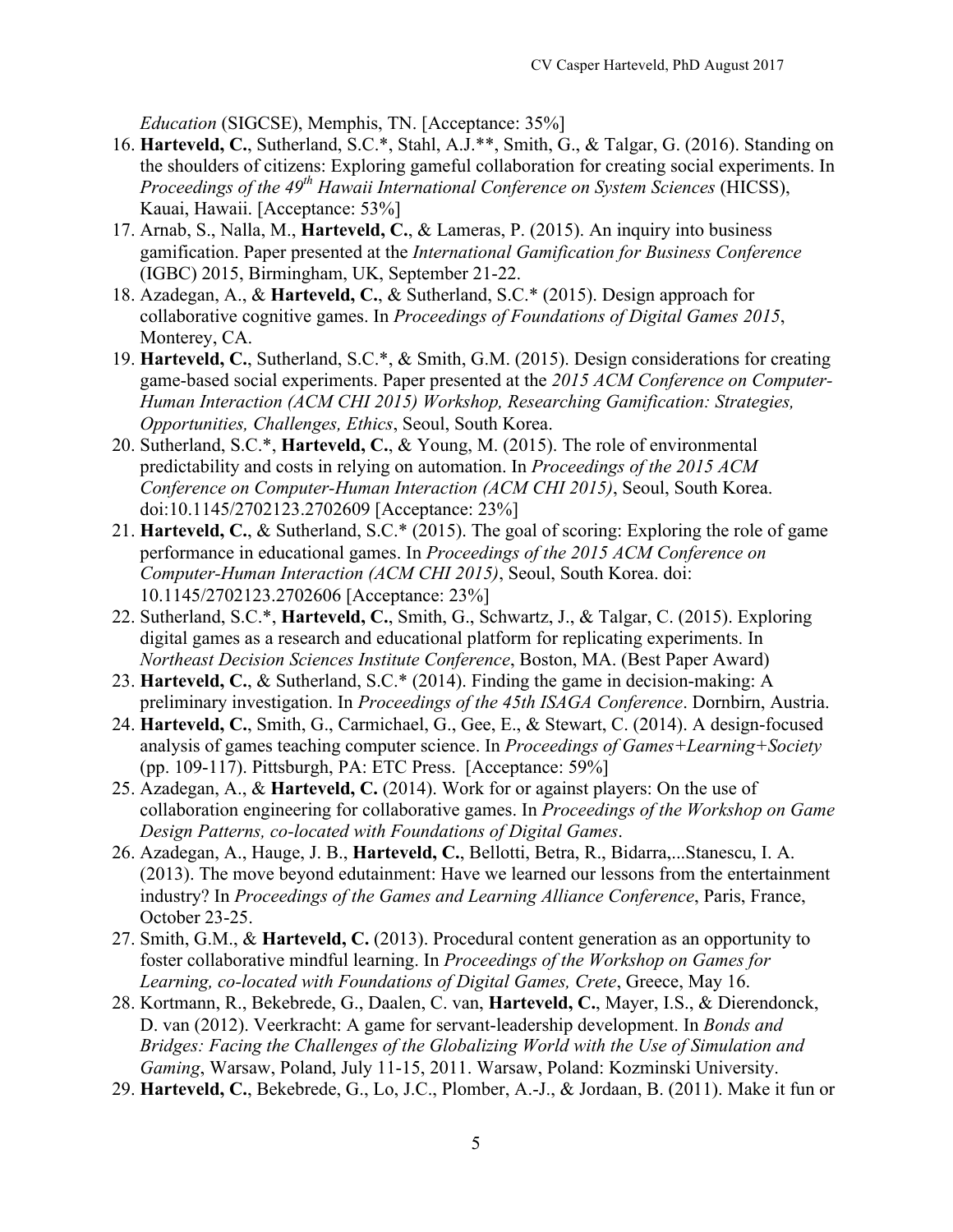*Education* (SIGCSE), Memphis, TN. [Acceptance: 35%]

- 16. **Harteveld, C.**, Sutherland, S.C.\*, Stahl, A.J.\*\*, Smith, G., & Talgar, G. (2016). Standing on the shoulders of citizens: Exploring gameful collaboration for creating social experiments. In *Proceedings of the 49th Hawaii International Conference on System Sciences* (HICSS), Kauai, Hawaii. [Acceptance: 53%]
- 17. Arnab, S., Nalla, M., **Harteveld, C.**, & Lameras, P. (2015). An inquiry into business gamification. Paper presented at the *International Gamification for Business Conference* (IGBC) 2015, Birmingham, UK, September 21-22.
- 18. Azadegan, A., & **Harteveld, C.**, & Sutherland, S.C.\* (2015). Design approach for collaborative cognitive games. In *Proceedings of Foundations of Digital Games 2015*, Monterey, CA.
- 19. **Harteveld, C.**, Sutherland, S.C.\*, & Smith, G.M. (2015). Design considerations for creating game-based social experiments. Paper presented at the *2015 ACM Conference on Computer-Human Interaction (ACM CHI 2015) Workshop, Researching Gamification: Strategies, Opportunities, Challenges, Ethics*, Seoul, South Korea.
- 20. Sutherland, S.C.\*, **Harteveld, C.**, & Young, M. (2015). The role of environmental predictability and costs in relying on automation. In *Proceedings of the 2015 ACM Conference on Computer-Human Interaction (ACM CHI 2015)*, Seoul, South Korea. doi:10.1145/2702123.2702609 [Acceptance: 23%]
- 21. **Harteveld, C.**, & Sutherland, S.C.\* (2015). The goal of scoring: Exploring the role of game performance in educational games. In *Proceedings of the 2015 ACM Conference on Computer-Human Interaction (ACM CHI 2015)*, Seoul, South Korea. doi: 10.1145/2702123.2702606 [Acceptance: 23%]
- 22. Sutherland, S.C.\*, **Harteveld, C.**, Smith, G., Schwartz, J., & Talgar, C. (2015). Exploring digital games as a research and educational platform for replicating experiments. In *Northeast Decision Sciences Institute Conference*, Boston, MA. (Best Paper Award)
- 23. **Harteveld, C.**, & Sutherland, S.C.\* (2014). Finding the game in decision-making: A preliminary investigation. In *Proceedings of the 45th ISAGA Conference*. Dornbirn, Austria.
- 24. **Harteveld, C.**, Smith, G., Carmichael, G., Gee, E., & Stewart, C. (2014). A design-focused analysis of games teaching computer science. In *Proceedings of Games+Learning+Society* (pp. 109-117). Pittsburgh, PA: ETC Press. [Acceptance: 59%]
- 25. Azadegan, A., & **Harteveld, C.** (2014). Work for or against players: On the use of collaboration engineering for collaborative games. In *Proceedings of the Workshop on Game Design Patterns, co-located with Foundations of Digital Games*.
- 26. Azadegan, A., Hauge, J. B., **Harteveld, C.**, Bellotti, Betra, R., Bidarra,...Stanescu, I. A. (2013). The move beyond edutainment: Have we learned our lessons from the entertainment industry? In *Proceedings of the Games and Learning Alliance Conference*, Paris, France, October 23-25.
- 27. Smith, G.M., & **Harteveld, C.** (2013). Procedural content generation as an opportunity to foster collaborative mindful learning. In *Proceedings of the Workshop on Games for Learning, co-located with Foundations of Digital Games, Crete*, Greece, May 16.
- 28. Kortmann, R., Bekebrede, G., Daalen, C. van, **Harteveld, C.**, Mayer, I.S., & Dierendonck, D. van (2012). Veerkracht: A game for servant-leadership development. In *Bonds and Bridges: Facing the Challenges of the Globalizing World with the Use of Simulation and Gaming*, Warsaw, Poland, July 11-15, 2011. Warsaw, Poland: Kozminski University.
- 29. **Harteveld, C.**, Bekebrede, G., Lo, J.C., Plomber, A.-J., & Jordaan, B. (2011). Make it fun or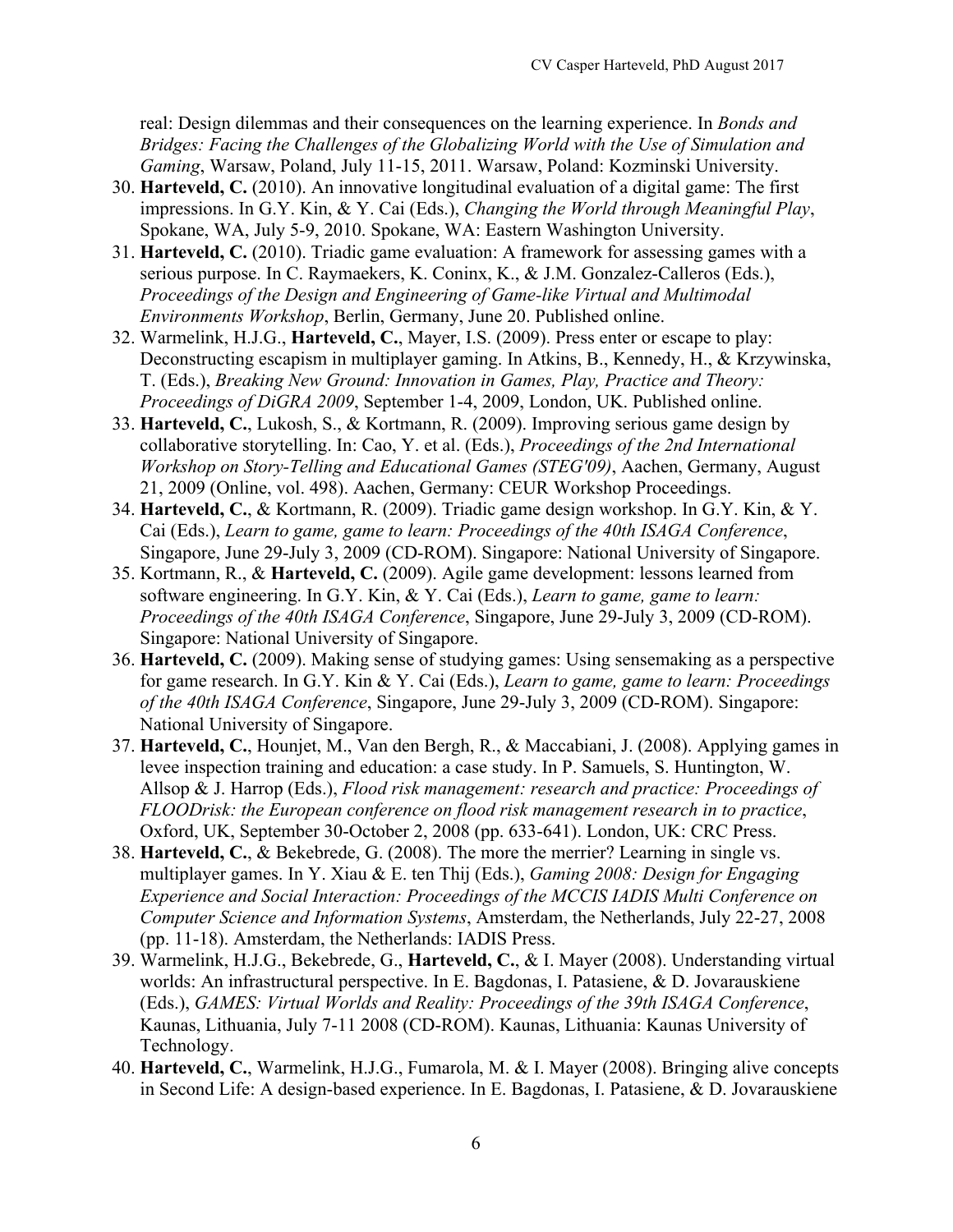real: Design dilemmas and their consequences on the learning experience. In *Bonds and Bridges: Facing the Challenges of the Globalizing World with the Use of Simulation and Gaming*, Warsaw, Poland, July 11-15, 2011. Warsaw, Poland: Kozminski University.

- 30. **Harteveld, C.** (2010). An innovative longitudinal evaluation of a digital game: The first impressions. In G.Y. Kin, & Y. Cai (Eds.), *Changing the World through Meaningful Play*, Spokane, WA, July 5-9, 2010. Spokane, WA: Eastern Washington University.
- 31. **Harteveld, C.** (2010). Triadic game evaluation: A framework for assessing games with a serious purpose. In C. Raymaekers, K. Coninx, K., & J.M. Gonzalez-Calleros (Eds.), *Proceedings of the Design and Engineering of Game-like Virtual and Multimodal Environments Workshop*, Berlin, Germany, June 20. Published online.
- 32. Warmelink, H.J.G., **Harteveld, C.**, Mayer, I.S. (2009). Press enter or escape to play: Deconstructing escapism in multiplayer gaming. In Atkins, B., Kennedy, H., & Krzywinska, T. (Eds.), *Breaking New Ground: Innovation in Games, Play, Practice and Theory: Proceedings of DiGRA 2009*, September 1-4, 2009, London, UK. Published online.
- 33. **Harteveld, C.**, Lukosh, S., & Kortmann, R. (2009). Improving serious game design by collaborative storytelling. In: Cao, Y. et al. (Eds.), *Proceedings of the 2nd International Workshop on Story-Telling and Educational Games (STEG'09)*, Aachen, Germany, August 21, 2009 (Online, vol. 498). Aachen, Germany: CEUR Workshop Proceedings.
- 34. **Harteveld, C.**, & Kortmann, R. (2009). Triadic game design workshop. In G.Y. Kin, & Y. Cai (Eds.), *Learn to game, game to learn: Proceedings of the 40th ISAGA Conference*, Singapore, June 29-July 3, 2009 (CD-ROM). Singapore: National University of Singapore.
- 35. Kortmann, R., & **Harteveld, C.** (2009). Agile game development: lessons learned from software engineering. In G.Y. Kin, & Y. Cai (Eds.), *Learn to game, game to learn: Proceedings of the 40th ISAGA Conference*, Singapore, June 29-July 3, 2009 (CD-ROM). Singapore: National University of Singapore.
- 36. **Harteveld, C.** (2009). Making sense of studying games: Using sensemaking as a perspective for game research. In G.Y. Kin & Y. Cai (Eds.), *Learn to game, game to learn: Proceedings of the 40th ISAGA Conference*, Singapore, June 29-July 3, 2009 (CD-ROM). Singapore: National University of Singapore.
- 37. **Harteveld, C.**, Hounjet, M., Van den Bergh, R., & Maccabiani, J. (2008). Applying games in levee inspection training and education: a case study. In P. Samuels, S. Huntington, W. Allsop & J. Harrop (Eds.), *Flood risk management: research and practice: Proceedings of FLOODrisk: the European conference on flood risk management research in to practice*, Oxford, UK, September 30-October 2, 2008 (pp. 633-641). London, UK: CRC Press.
- 38. **Harteveld, C.**, & Bekebrede, G. (2008). The more the merrier? Learning in single vs. multiplayer games. In Y. Xiau & E. ten Thij (Eds.), *Gaming 2008: Design for Engaging Experience and Social Interaction: Proceedings of the MCCIS IADIS Multi Conference on Computer Science and Information Systems*, Amsterdam, the Netherlands, July 22-27, 2008 (pp. 11-18). Amsterdam, the Netherlands: IADIS Press.
- 39. Warmelink, H.J.G., Bekebrede, G., **Harteveld, C.**, & I. Mayer (2008). Understanding virtual worlds: An infrastructural perspective. In E. Bagdonas, I. Patasiene, & D. Jovarauskiene (Eds.), *GAMES: Virtual Worlds and Reality: Proceedings of the 39th ISAGA Conference*, Kaunas, Lithuania, July 7-11 2008 (CD-ROM). Kaunas, Lithuania: Kaunas University of Technology.
- 40. **Harteveld, C.**, Warmelink, H.J.G., Fumarola, M. & I. Mayer (2008). Bringing alive concepts in Second Life: A design-based experience. In E. Bagdonas, I. Patasiene, & D. Jovarauskiene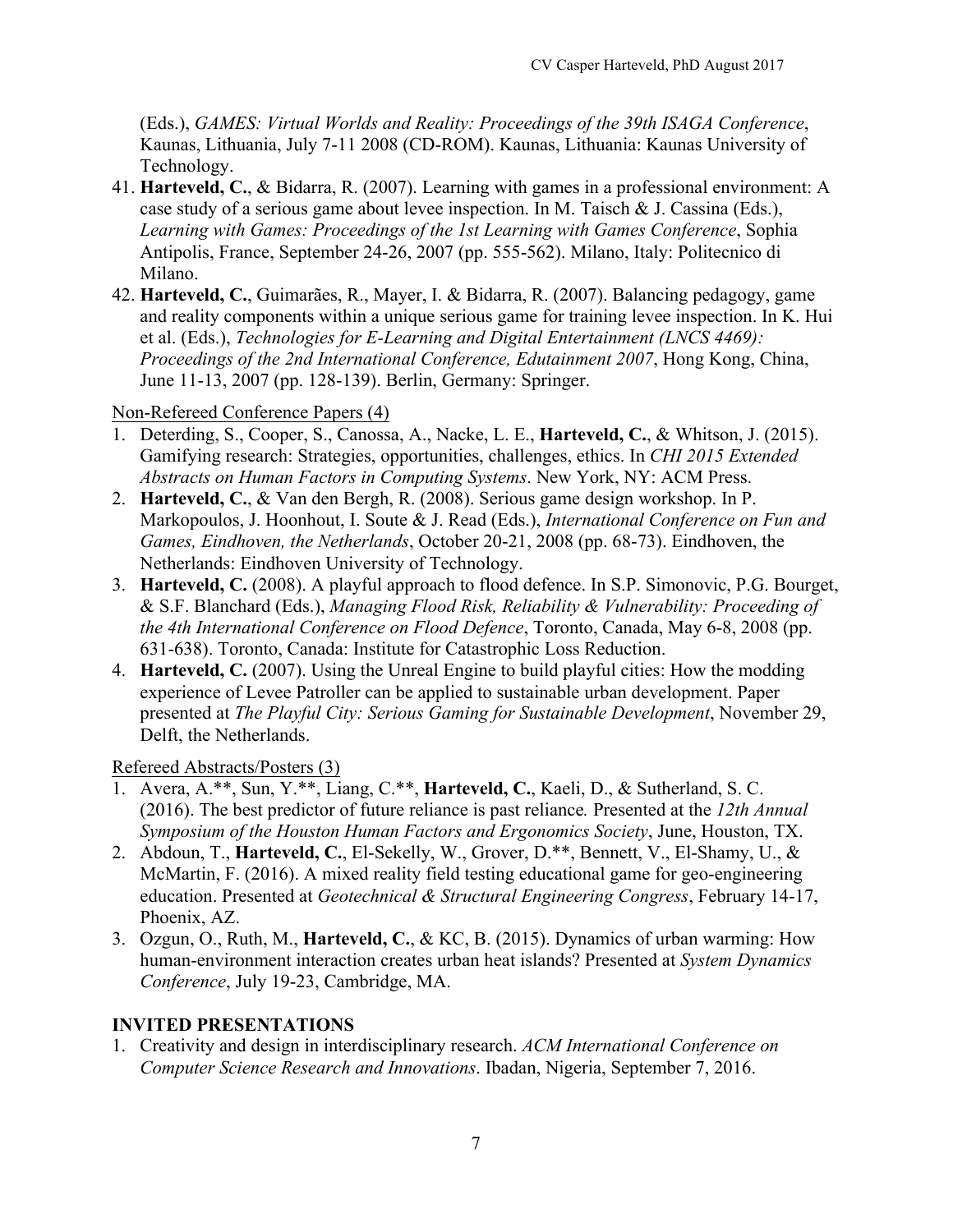(Eds.), *GAMES: Virtual Worlds and Reality: Proceedings of the 39th ISAGA Conference*, Kaunas, Lithuania, July 7-11 2008 (CD-ROM). Kaunas, Lithuania: Kaunas University of Technology.

- 41. **Harteveld, C.**, & Bidarra, R. (2007). Learning with games in a professional environment: A case study of a serious game about levee inspection. In M. Taisch & J. Cassina (Eds.), *Learning with Games: Proceedings of the 1st Learning with Games Conference*, Sophia Antipolis, France, September 24-26, 2007 (pp. 555-562). Milano, Italy: Politecnico di Milano.
- 42. **Harteveld, C.**, Guimarães, R., Mayer, I. & Bidarra, R. (2007). Balancing pedagogy, game and reality components within a unique serious game for training levee inspection. In K. Hui et al. (Eds.), *Technologies for E-Learning and Digital Entertainment (LNCS 4469): Proceedings of the 2nd International Conference, Edutainment 2007*, Hong Kong, China, June 11-13, 2007 (pp. 128-139). Berlin, Germany: Springer.

#### Non-Refereed Conference Papers (4)

- 1. Deterding, S., Cooper, S., Canossa, A., Nacke, L. E., **Harteveld, C.**, & Whitson, J. (2015). Gamifying research: Strategies, opportunities, challenges, ethics. In *CHI 2015 Extended Abstracts on Human Factors in Computing Systems*. New York, NY: ACM Press.
- 2. **Harteveld, C.**, & Van den Bergh, R. (2008). Serious game design workshop. In P. Markopoulos, J. Hoonhout, I. Soute & J. Read (Eds.), *International Conference on Fun and Games, Eindhoven, the Netherlands*, October 20-21, 2008 (pp. 68-73). Eindhoven, the Netherlands: Eindhoven University of Technology.
- 3. **Harteveld, C.** (2008). A playful approach to flood defence. In S.P. Simonovic, P.G. Bourget, & S.F. Blanchard (Eds.), *Managing Flood Risk, Reliability & Vulnerability: Proceeding of the 4th International Conference on Flood Defence*, Toronto, Canada, May 6-8, 2008 (pp. 631-638). Toronto, Canada: Institute for Catastrophic Loss Reduction.
- 4. **Harteveld, C.** (2007). Using the Unreal Engine to build playful cities: How the modding experience of Levee Patroller can be applied to sustainable urban development. Paper presented at *The Playful City: Serious Gaming for Sustainable Development*, November 29, Delft, the Netherlands.

## Refereed Abstracts/Posters (3)

- 1. Avera, A.\*\*, Sun, Y.\*\*, Liang, C.\*\*, **Harteveld, C.**, Kaeli, D., & Sutherland, S. C. (2016). The best predictor of future reliance is past reliance*.* Presented at the *12th Annual Symposium of the Houston Human Factors and Ergonomics Society*, June, Houston, TX.
- 2. Abdoun, T., **Harteveld, C.**, El-Sekelly, W., Grover, D.\*\*, Bennett, V., El-Shamy, U., & McMartin, F. (2016). A mixed reality field testing educational game for geo-engineering education. Presented at *Geotechnical & Structural Engineering Congress*, February 14-17, Phoenix, AZ.
- 3. Ozgun, O., Ruth, M., **Harteveld, C.**, & KC, B. (2015). Dynamics of urban warming: How human-environment interaction creates urban heat islands? Presented at *System Dynamics Conference*, July 19-23, Cambridge, MA.

## **INVITED PRESENTATIONS**

1. Creativity and design in interdisciplinary research. *ACM International Conference on Computer Science Research and Innovations*. Ibadan, Nigeria, September 7, 2016.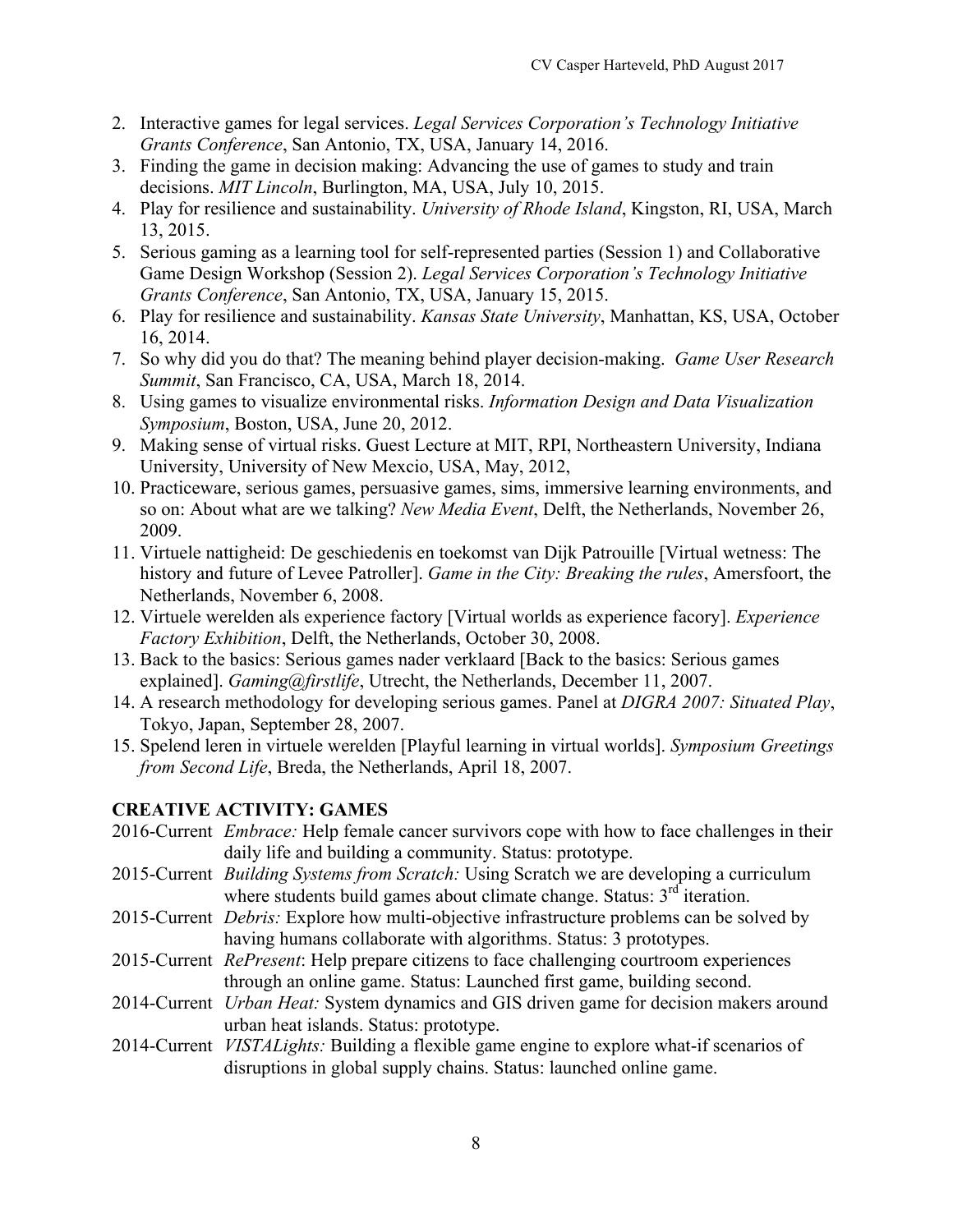- 2. Interactive games for legal services. *Legal Services Corporation's Technology Initiative Grants Conference*, San Antonio, TX, USA, January 14, 2016.
- 3. Finding the game in decision making: Advancing the use of games to study and train decisions. *MIT Lincoln*, Burlington, MA, USA, July 10, 2015.
- 4. Play for resilience and sustainability. *University of Rhode Island*, Kingston, RI, USA, March 13, 2015.
- 5. Serious gaming as a learning tool for self-represented parties (Session 1) and Collaborative Game Design Workshop (Session 2). *Legal Services Corporation's Technology Initiative Grants Conference*, San Antonio, TX, USA, January 15, 2015.
- 6. Play for resilience and sustainability. *Kansas State University*, Manhattan, KS, USA, October 16, 2014.
- 7. So why did you do that? The meaning behind player decision-making. *Game User Research Summit*, San Francisco, CA, USA, March 18, 2014.
- 8. Using games to visualize environmental risks. *Information Design and Data Visualization Symposium*, Boston, USA, June 20, 2012.
- 9. Making sense of virtual risks. Guest Lecture at MIT, RPI, Northeastern University, Indiana University, University of New Mexcio, USA, May, 2012,
- 10. Practiceware, serious games, persuasive games, sims, immersive learning environments, and so on: About what are we talking? *New Media Event*, Delft, the Netherlands, November 26, 2009.
- 11. Virtuele nattigheid: De geschiedenis en toekomst van Dijk Patrouille [Virtual wetness: The history and future of Levee Patroller]. *Game in the City: Breaking the rules*, Amersfoort, the Netherlands, November 6, 2008.
- 12. Virtuele werelden als experience factory [Virtual worlds as experience facory]. *Experience Factory Exhibition*, Delft, the Netherlands, October 30, 2008.
- 13. Back to the basics: Serious games nader verklaard [Back to the basics: Serious games explained]. *Gaming@firstlife*, Utrecht, the Netherlands, December 11, 2007.
- 14. A research methodology for developing serious games. Panel at *DIGRA 2007: Situated Play*, Tokyo, Japan, September 28, 2007.
- 15. Spelend leren in virtuele werelden [Playful learning in virtual worlds]. *Symposium Greetings from Second Life*, Breda, the Netherlands, April 18, 2007.

## **CREATIVE ACTIVITY: GAMES**

- 2016-Current *Embrace:* Help female cancer survivors cope with how to face challenges in their daily life and building a community. Status: prototype.
- 2015-Current *Building Systems from Scratch:* Using Scratch we are developing a curriculum where students build games about climate change. Status:  $3<sup>rd</sup>$  iteration.
- 2015-Current *Debris:* Explore how multi-objective infrastructure problems can be solved by having humans collaborate with algorithms. Status: 3 prototypes.
- 2015-Current *RePresent*: Help prepare citizens to face challenging courtroom experiences through an online game. Status: Launched first game, building second.
- 2014-Current *Urban Heat:* System dynamics and GIS driven game for decision makers around urban heat islands. Status: prototype.
- 2014-Current *VISTALights:* Building a flexible game engine to explore what-if scenarios of disruptions in global supply chains. Status: launched online game.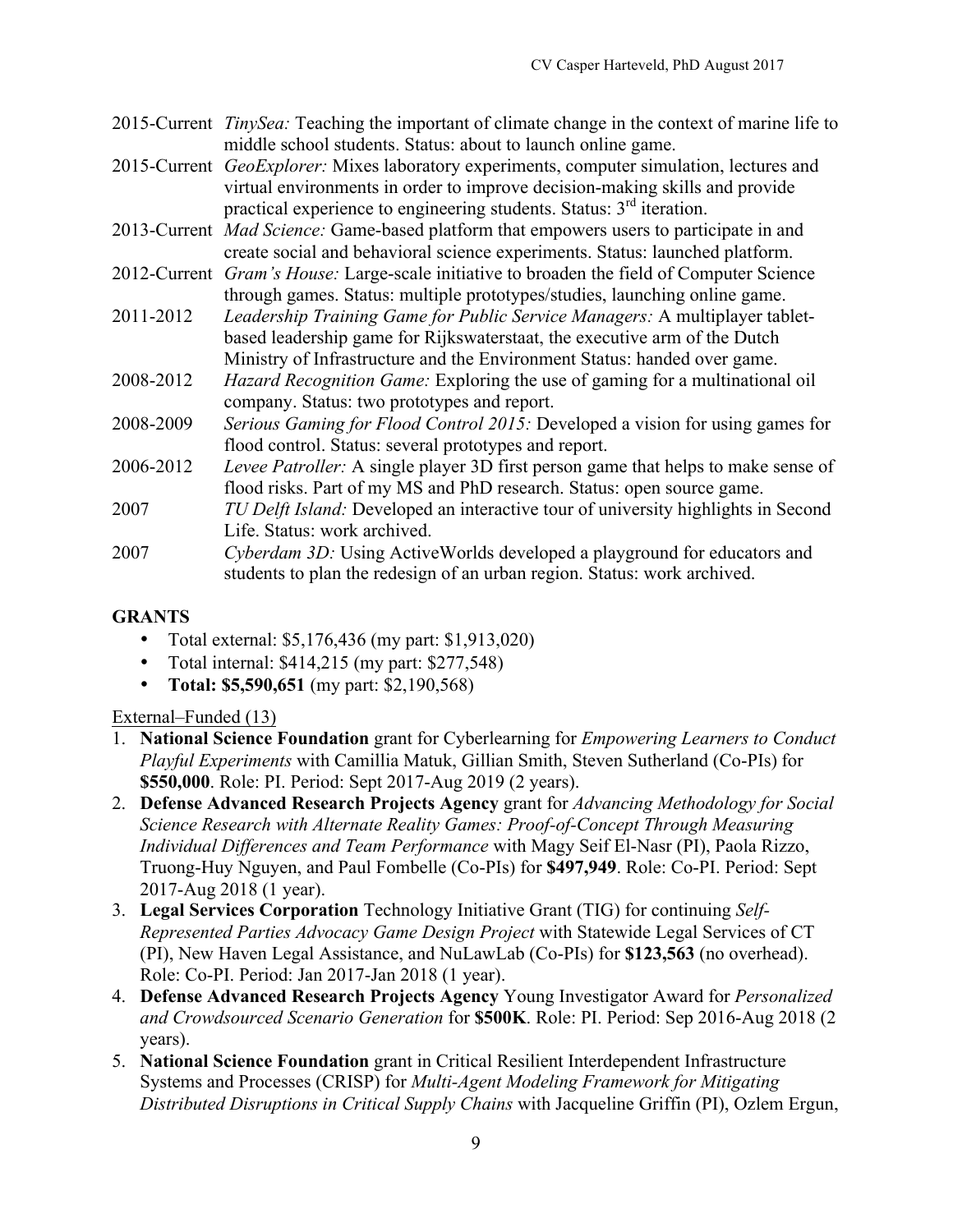- 2015-Current *TinySea:* Teaching the important of climate change in the context of marine life to middle school students. Status: about to launch online game.
- 2015-Current *GeoExplorer:* Mixes laboratory experiments, computer simulation, lectures and virtual environments in order to improve decision-making skills and provide practical experience to engineering students. Status:  $3<sup>rd</sup>$  iteration.
- 2013-Current *Mad Science:* Game-based platform that empowers users to participate in and create social and behavioral science experiments. Status: launched platform.
- 2012-Current *Gram's House:* Large-scale initiative to broaden the field of Computer Science through games. Status: multiple prototypes/studies, launching online game.
- 2011-2012 *Leadership Training Game for Public Service Managers:* A multiplayer tabletbased leadership game for Rijkswaterstaat, the executive arm of the Dutch Ministry of Infrastructure and the Environment Status: handed over game.
- 2008-2012 *Hazard Recognition Game:* Exploring the use of gaming for a multinational oil company. Status: two prototypes and report.
- 2008-2009 *Serious Gaming for Flood Control 2015:* Developed a vision for using games for flood control. Status: several prototypes and report.
- 2006-2012 *Levee Patroller:* A single player 3D first person game that helps to make sense of flood risks. Part of my MS and PhD research. Status: open source game.
- 2007 *TU Delft Island:* Developed an interactive tour of university highlights in Second Life. Status: work archived.
- 2007 *Cyberdam 3D:* Using ActiveWorlds developed a playground for educators and students to plan the redesign of an urban region. Status: work archived.

# **GRANTS**

- Total external: \$5,176,436 (my part: \$1,913,020)
- Total internal: \$414,215 (my part: \$277,548)
- **Total: \$5,590,651** (my part: \$2,190,568)

# External–Funded (13)

- 1. **National Science Foundation** grant for Cyberlearning for *Empowering Learners to Conduct Playful Experiments* with Camillia Matuk, Gillian Smith, Steven Sutherland (Co-PIs) for **\$550,000**. Role: PI. Period: Sept 2017-Aug 2019 (2 years).
- 2. **Defense Advanced Research Projects Agency** grant for *Advancing Methodology for Social Science Research with Alternate Reality Games: Proof-of-Concept Through Measuring Individual Differences and Team Performance* with Magy Seif El-Nasr (PI), Paola Rizzo, Truong-Huy Nguyen, and Paul Fombelle (Co-PIs) for **\$497,949**. Role: Co-PI. Period: Sept 2017-Aug 2018 (1 year).
- 3. **Legal Services Corporation** Technology Initiative Grant (TIG) for continuing *Self-Represented Parties Advocacy Game Design Project* with Statewide Legal Services of CT (PI), New Haven Legal Assistance, and NuLawLab (Co-PIs) for **\$123,563** (no overhead). Role: Co-PI. Period: Jan 2017-Jan 2018 (1 year).
- 4. **Defense Advanced Research Projects Agency** Young Investigator Award for *Personalized and Crowdsourced Scenario Generation* for **\$500K**. Role: PI. Period: Sep 2016-Aug 2018 (2 years).
- 5. **National Science Foundation** grant in Critical Resilient Interdependent Infrastructure Systems and Processes (CRISP) for *Multi-Agent Modeling Framework for Mitigating Distributed Disruptions in Critical Supply Chains* with Jacqueline Griffin (PI), Ozlem Ergun,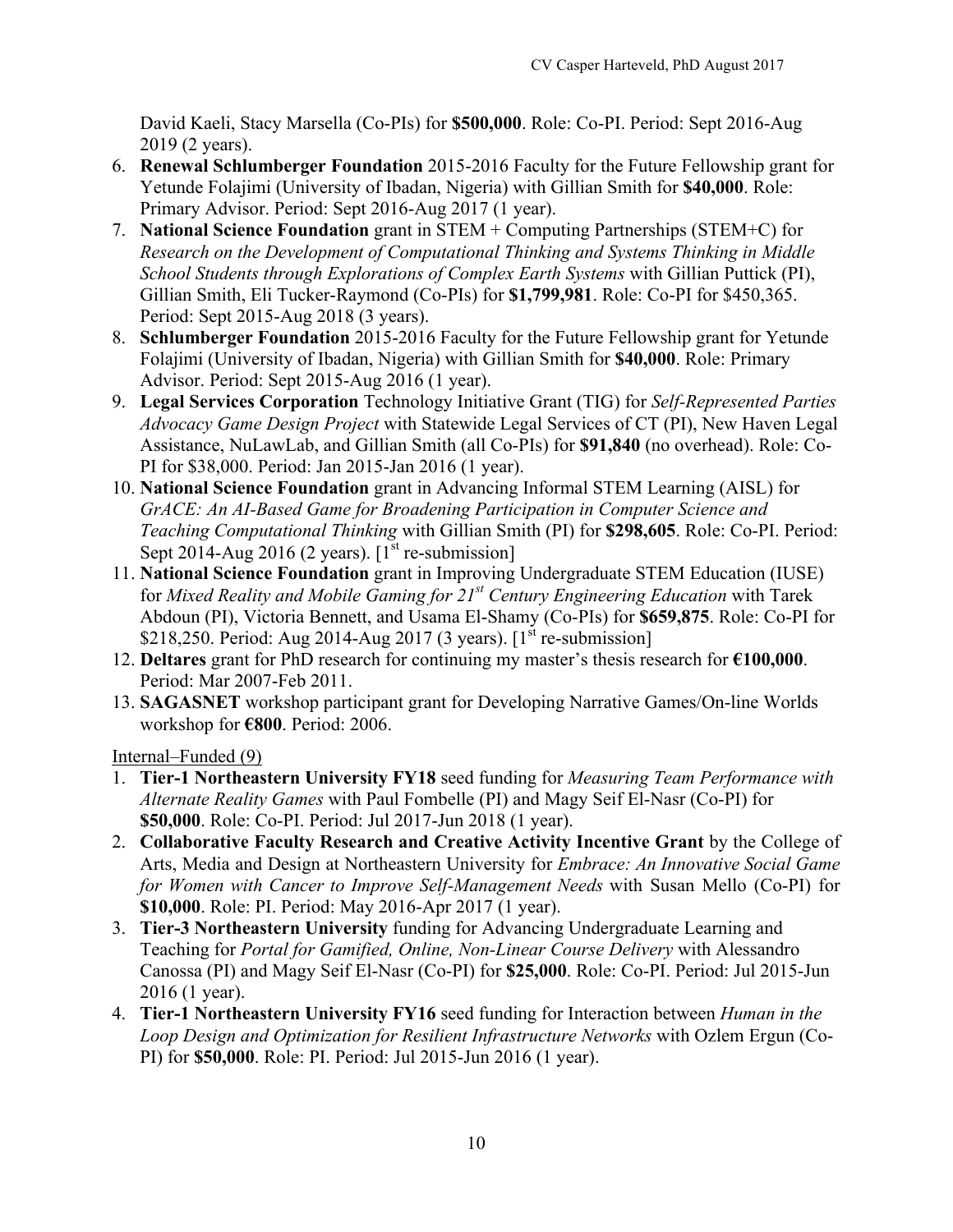David Kaeli, Stacy Marsella (Co-PIs) for **\$500,000**. Role: Co-PI. Period: Sept 2016-Aug 2019 (2 years).

- 6. **Renewal Schlumberger Foundation** 2015-2016 Faculty for the Future Fellowship grant for Yetunde Folajimi (University of Ibadan, Nigeria) with Gillian Smith for **\$40,000**. Role: Primary Advisor. Period: Sept 2016-Aug 2017 (1 year).
- 7. **National Science Foundation** grant in STEM + Computing Partnerships (STEM+C) for *Research on the Development of Computational Thinking and Systems Thinking in Middle School Students through Explorations of Complex Earth Systems* with Gillian Puttick (PI), Gillian Smith, Eli Tucker-Raymond (Co-PIs) for **\$1,799,981**. Role: Co-PI for \$450,365. Period: Sept 2015-Aug 2018 (3 years).
- 8. **Schlumberger Foundation** 2015-2016 Faculty for the Future Fellowship grant for Yetunde Folajimi (University of Ibadan, Nigeria) with Gillian Smith for **\$40,000**. Role: Primary Advisor. Period: Sept 2015-Aug 2016 (1 year).
- 9. **Legal Services Corporation** Technology Initiative Grant (TIG) for *Self-Represented Parties Advocacy Game Design Project* with Statewide Legal Services of CT (PI), New Haven Legal Assistance, NuLawLab, and Gillian Smith (all Co-PIs) for **\$91,840** (no overhead). Role: Co-PI for \$38,000. Period: Jan 2015-Jan 2016 (1 year).
- 10. **National Science Foundation** grant in Advancing Informal STEM Learning (AISL) for *GrACE: An AI-Based Game for Broadening Participation in Computer Science and Teaching Computational Thinking* with Gillian Smith (PI) for **\$298,605**. Role: Co-PI. Period: Sept 2014-Aug 2016 (2 years).  $[I<sup>st</sup>$  re-submission]
- 11. **National Science Foundation** grant in Improving Undergraduate STEM Education (IUSE) for *Mixed Reality and Mobile Gaming for 21st Century Engineering Education* with Tarek Abdoun (PI), Victoria Bennett, and Usama El-Shamy (Co-PIs) for **\$659,875**. Role: Co-PI for \$218,250. Period: Aug 2014-Aug 2017 (3 years).  $[1<sup>st</sup>$  re-submission]
- 12. **Deltares** grant for PhD research for continuing my master's thesis research for **€100,000**. Period: Mar 2007-Feb 2011.
- 13. **SAGASNET** workshop participant grant for Developing Narrative Games/On-line Worlds workshop for **€800**. Period: 2006.

Internal–Funded (9)

- 1. **Tier-1 Northeastern University FY18** seed funding for *Measuring Team Performance with Alternate Reality Games* with Paul Fombelle (PI) and Magy Seif El-Nasr (Co-PI) for **\$50,000**. Role: Co-PI. Period: Jul 2017-Jun 2018 (1 year).
- 2. **Collaborative Faculty Research and Creative Activity Incentive Grant** by the College of Arts, Media and Design at Northeastern University for *Embrace: An Innovative Social Game for Women with Cancer to Improve Self-Management Needs* with Susan Mello (Co-PI) for **\$10,000**. Role: PI. Period: May 2016-Apr 2017 (1 year).
- 3. **Tier-3 Northeastern University** funding for Advancing Undergraduate Learning and Teaching for *Portal for Gamified, Online, Non-Linear Course Delivery* with Alessandro Canossa (PI) and Magy Seif El-Nasr (Co-PI) for **\$25,000**. Role: Co-PI. Period: Jul 2015-Jun 2016 (1 year).
- 4. **Tier-1 Northeastern University FY16** seed funding for Interaction between *Human in the Loop Design and Optimization for Resilient Infrastructure Networks* with Ozlem Ergun (Co-PI) for **\$50,000**. Role: PI. Period: Jul 2015-Jun 2016 (1 year).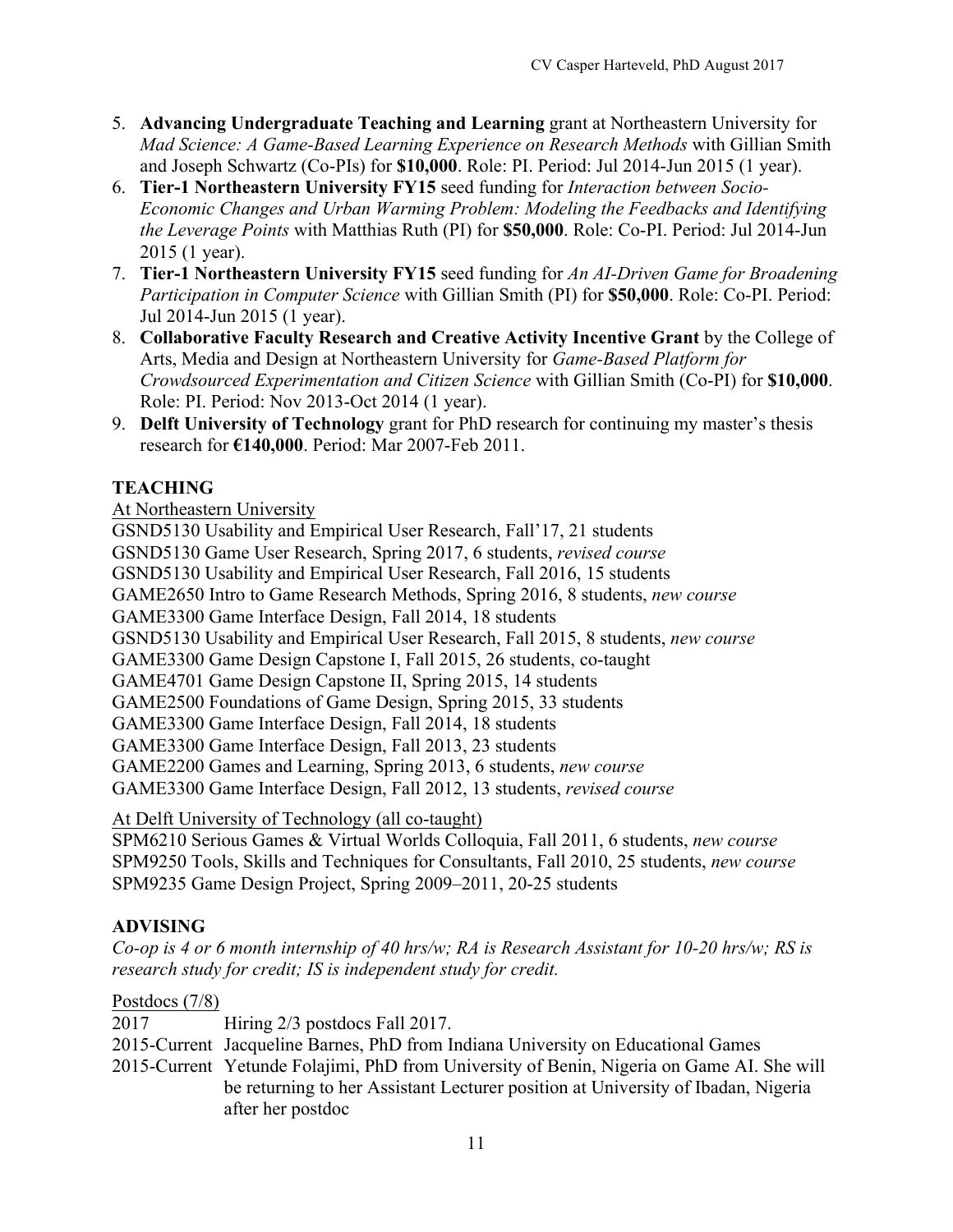- 5. **Advancing Undergraduate Teaching and Learning** grant at Northeastern University for *Mad Science: A Game-Based Learning Experience on Research Methods* with Gillian Smith and Joseph Schwartz (Co-PIs) for **\$10,000**. Role: PI. Period: Jul 2014-Jun 2015 (1 year).
- 6. **Tier-1 Northeastern University FY15** seed funding for *Interaction between Socio-Economic Changes and Urban Warming Problem: Modeling the Feedbacks and Identifying the Leverage Points* with Matthias Ruth (PI) for **\$50,000**. Role: Co-PI. Period: Jul 2014-Jun 2015 (1 year).
- 7. **Tier-1 Northeastern University FY15** seed funding for *An AI-Driven Game for Broadening Participation in Computer Science* with Gillian Smith (PI) for **\$50,000**. Role: Co-PI. Period: Jul 2014-Jun 2015 (1 year).
- 8. **Collaborative Faculty Research and Creative Activity Incentive Grant** by the College of Arts, Media and Design at Northeastern University for *Game-Based Platform for Crowdsourced Experimentation and Citizen Science* with Gillian Smith (Co-PI) for **\$10,000**. Role: PI. Period: Nov 2013-Oct 2014 (1 year).
- 9. **Delft University of Technology** grant for PhD research for continuing my master's thesis research for **€140,000**. Period: Mar 2007-Feb 2011.

# **TEACHING**

#### At Northeastern University

GSND5130 Usability and Empirical User Research, Fall'17, 21 students

GSND5130 Game User Research, Spring 2017, 6 students, *revised course*

GSND5130 Usability and Empirical User Research, Fall 2016, 15 students

GAME2650 Intro to Game Research Methods, Spring 2016, 8 students, *new course*

GAME3300 Game Interface Design, Fall 2014, 18 students

GSND5130 Usability and Empirical User Research, Fall 2015, 8 students, *new course*

GAME3300 Game Design Capstone I, Fall 2015, 26 students, co-taught

GAME4701 Game Design Capstone II, Spring 2015, 14 students

GAME2500 Foundations of Game Design, Spring 2015, 33 students

GAME3300 Game Interface Design, Fall 2014, 18 students

GAME3300 Game Interface Design, Fall 2013, 23 students

GAME2200 Games and Learning, Spring 2013, 6 students, *new course*

GAME3300 Game Interface Design, Fall 2012, 13 students, *revised course*

At Delft University of Technology (all co-taught)

SPM6210 Serious Games & Virtual Worlds Colloquia, Fall 2011, 6 students, *new course*  SPM9250 Tools, Skills and Techniques for Consultants, Fall 2010, 25 students, *new course*  SPM9235 Game Design Project, Spring 2009–2011, 20-25 students

## **ADVISING**

*Co-op is 4 or 6 month internship of 40 hrs/w; RA is Research Assistant for 10-20 hrs/w; RS is research study for credit; IS is independent study for credit.* 

#### Postdocs (7/8)

2017 Hiring 2/3 postdocs Fall 2017.

2015-Current Jacqueline Barnes, PhD from Indiana University on Educational Games

2015-Current Yetunde Folajimi, PhD from University of Benin, Nigeria on Game AI. She will be returning to her Assistant Lecturer position at University of Ibadan, Nigeria after her postdoc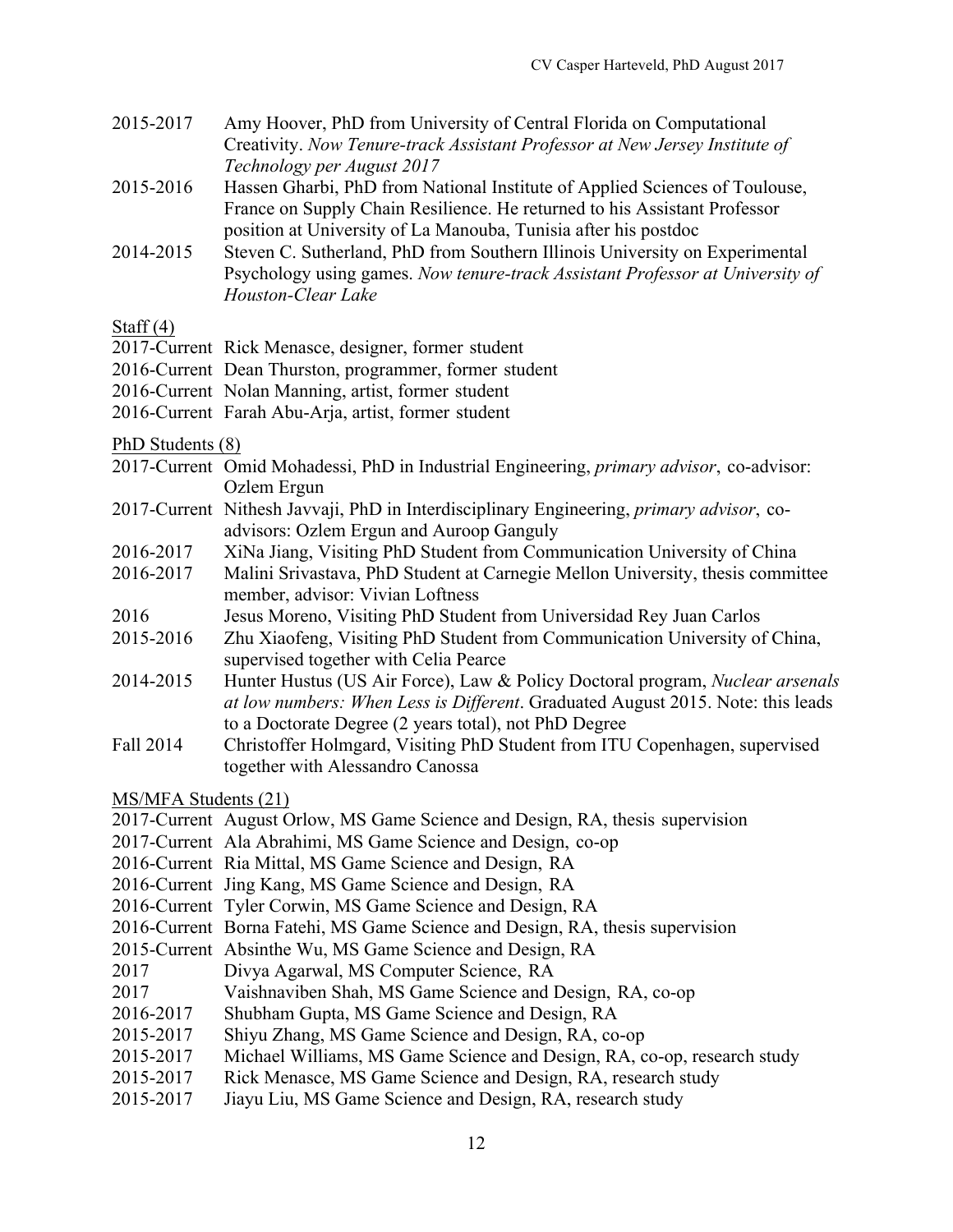- 2015-2017 Amy Hoover, PhD from University of Central Florida on Computational Creativity. *Now Tenure-track Assistant Professor at New Jersey Institute of Technology per August 2017*
- 2015-2016 Hassen Gharbi, PhD from National Institute of Applied Sciences of Toulouse, France on Supply Chain Resilience. He returned to his Assistant Professor position at University of La Manouba, Tunisia after his postdoc
- 2014-2015 Steven C. Sutherland, PhD from Southern Illinois University on Experimental Psychology using games. *Now tenure-track Assistant Professor at University of Houston-Clear Lake*

#### Staff  $(4)$

- 2017-Current Rick Menasce, designer, former student
- 2016-Current Dean Thurston, programmer, former student
- 2016-Current Nolan Manning, artist, former student
- 2016-Current Farah Abu-Arja, artist, former student

#### PhD Students (8)

- 2017-Current Omid Mohadessi, PhD in Industrial Engineering, *primary advisor*, co-advisor: Ozlem Ergun
- 2017-Current Nithesh Javvaji, PhD in Interdisciplinary Engineering, *primary advisor*, coadvisors: Ozlem Ergun and Auroop Ganguly
- 2016-2017 XiNa Jiang, Visiting PhD Student from Communication University of China
- 2016-2017 Malini Srivastava, PhD Student at Carnegie Mellon University, thesis committee member, advisor: Vivian Loftness
- 2016 Jesus Moreno, Visiting PhD Student from Universidad Rey Juan Carlos
- 2015-2016 Zhu Xiaofeng, Visiting PhD Student from Communication University of China, supervised together with Celia Pearce
- 2014-2015 Hunter Hustus (US Air Force), Law & Policy Doctoral program, *Nuclear arsenals at low numbers: When Less is Different*. Graduated August 2015. Note: this leads to a Doctorate Degree (2 years total), not PhD Degree
- Fall 2014 Christoffer Holmgard, Visiting PhD Student from ITU Copenhagen, supervised together with Alessandro Canossa

MS/MFA Students (21)

- 2017-Current August Orlow, MS Game Science and Design, RA, thesis supervision
- 2017-Current Ala Abrahimi, MS Game Science and Design, co-op
- 2016-Current Ria Mittal, MS Game Science and Design, RA
- 2016-Current Jing Kang, MS Game Science and Design, RA
- 2016-Current Tyler Corwin, MS Game Science and Design, RA
- 2016-Current Borna Fatehi, MS Game Science and Design, RA, thesis supervision
- 2015-Current Absinthe Wu, MS Game Science and Design, RA
- 2017 Divya Agarwal, MS Computer Science, RA
- 2017 Vaishnaviben Shah, MS Game Science and Design, RA, co-op
- 2016-2017 Shubham Gupta, MS Game Science and Design, RA
- 2015-2017 Shiyu Zhang, MS Game Science and Design, RA, co-op
- 2015-2017 Michael Williams, MS Game Science and Design, RA, co-op, research study
- 2015-2017 Rick Menasce, MS Game Science and Design, RA, research study
- 2015-2017 Jiayu Liu, MS Game Science and Design, RA, research study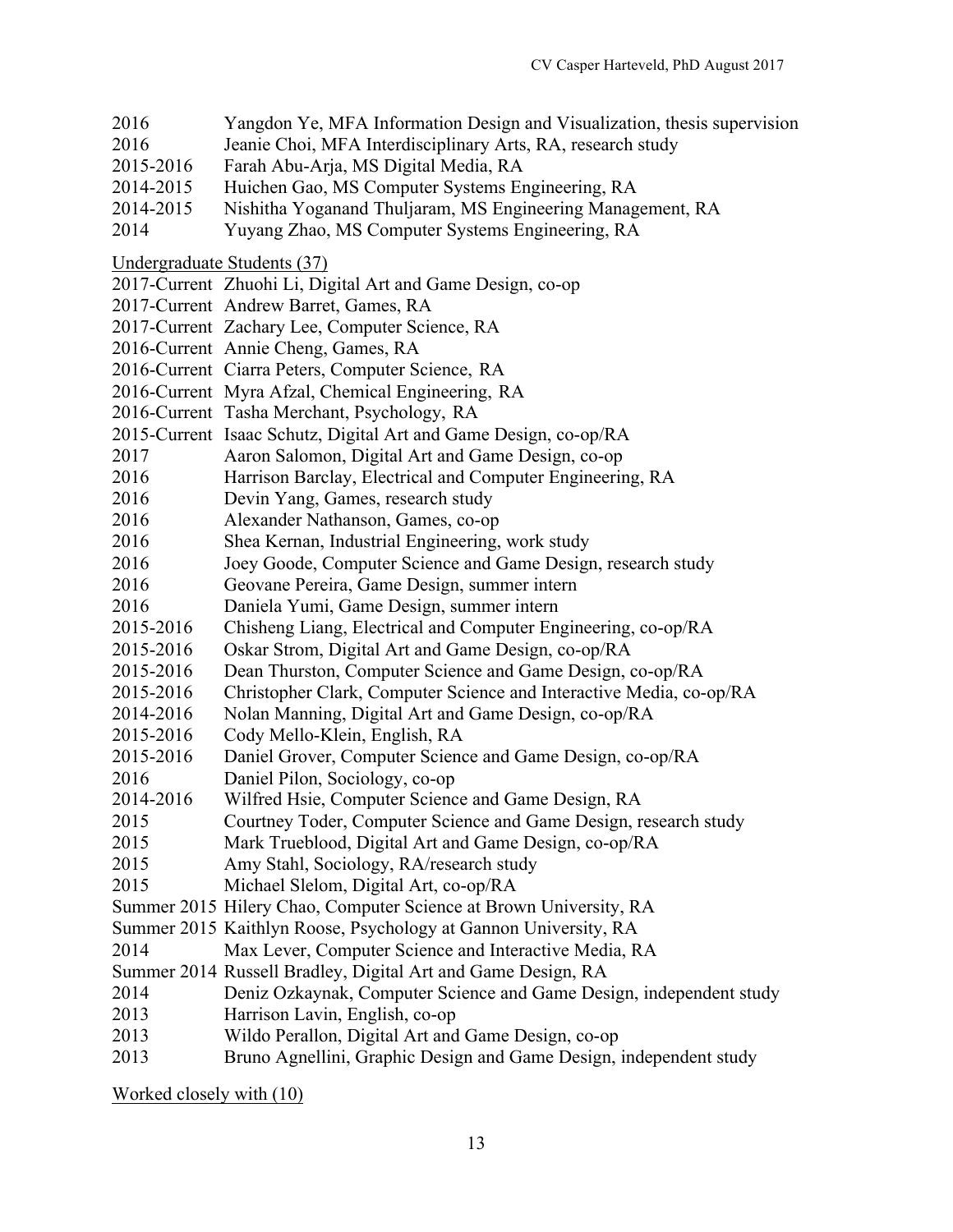- 2016 Yangdon Ye, MFA Information Design and Visualization, thesis supervision
- 2016 Jeanie Choi, MFA Interdisciplinary Arts, RA, research study
- 2015-2016 Farah Abu-Arja, MS Digital Media, RA
- 2014-2015 Huichen Gao, MS Computer Systems Engineering, RA
- 2014-2015 Nishitha Yoganand Thuljaram, MS Engineering Management, RA
- 2014 Yuyang Zhao, MS Computer Systems Engineering, RA
- Undergraduate Students (37)
- 2017-Current Zhuohi Li, Digital Art and Game Design, co-op
- 2017-Current Andrew Barret, Games, RA
- 2017-Current Zachary Lee, Computer Science, RA
- 2016-Current Annie Cheng, Games, RA
- 2016-Current Ciarra Peters, Computer Science, RA
- 2016-Current Myra Afzal, Chemical Engineering, RA
- 2016-Current Tasha Merchant, Psychology, RA
- 2015-Current Isaac Schutz, Digital Art and Game Design, co-op/RA
- 2017 Aaron Salomon, Digital Art and Game Design, co-op
- 2016 Harrison Barclay, Electrical and Computer Engineering, RA
- 2016 Devin Yang, Games, research study
- 2016 Alexander Nathanson, Games, co-op
- 2016 Shea Kernan, Industrial Engineering, work study
- 2016 Joey Goode, Computer Science and Game Design, research study
- 2016 Geovane Pereira, Game Design, summer intern
- 2016 Daniela Yumi, Game Design, summer intern
- 2015-2016 Chisheng Liang, Electrical and Computer Engineering, co-op/RA
- 2015-2016 Oskar Strom, Digital Art and Game Design, co-op/RA
- 2015-2016 Dean Thurston, Computer Science and Game Design, co-op/RA
- 2015-2016 Christopher Clark, Computer Science and Interactive Media, co-op/RA
- 2014-2016 Nolan Manning, Digital Art and Game Design, co-op/RA
- 2015-2016 Cody Mello-Klein, English, RA
- 2015-2016 Daniel Grover, Computer Science and Game Design, co-op/RA
- 2016 Daniel Pilon, Sociology, co-op
- 2014-2016 Wilfred Hsie, Computer Science and Game Design, RA
- 2015 Courtney Toder, Computer Science and Game Design, research study
- 2015 Mark Trueblood, Digital Art and Game Design, co-op/RA
- 2015 Amy Stahl, Sociology, RA/research study
- 2015 Michael Slelom, Digital Art, co-op/RA
- Summer 2015 Hilery Chao, Computer Science at Brown University, RA
- Summer 2015 Kaithlyn Roose, Psychology at Gannon University, RA
- 2014 Max Lever, Computer Science and Interactive Media, RA
- Summer 2014 Russell Bradley, Digital Art and Game Design, RA
- 2014 Deniz Ozkaynak, Computer Science and Game Design, independent study
- 2013 Harrison Lavin, English, co-op
- 2013 Wildo Perallon, Digital Art and Game Design, co-op
- 2013 Bruno Agnellini, Graphic Design and Game Design, independent study

Worked closely with (10)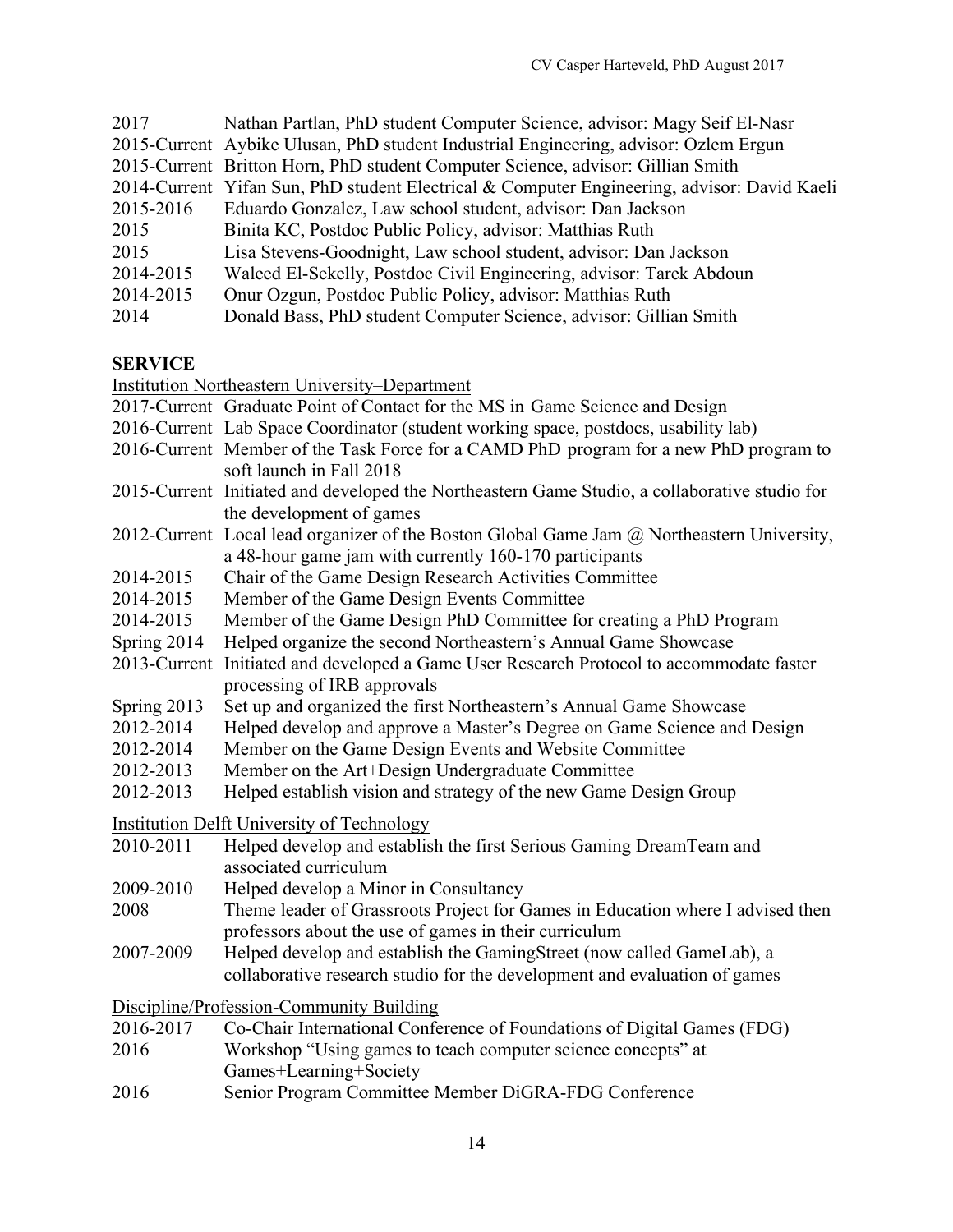| 2017      | Nathan Partlan, PhD student Computer Science, advisor: Magy Seif El-Nasr                    |
|-----------|---------------------------------------------------------------------------------------------|
|           | 2015-Current Aybike Ulusan, PhD student Industrial Engineering, advisor: Ozlem Ergun        |
|           | 2015-Current Britton Horn, PhD student Computer Science, advisor: Gillian Smith             |
|           | 2014-Current Yifan Sun, PhD student Electrical & Computer Engineering, advisor: David Kaeli |
| 2015-2016 | Eduardo Gonzalez, Law school student, advisor: Dan Jackson                                  |
| 2015      | Binita KC, Postdoc Public Policy, advisor: Matthias Ruth                                    |
| 2015      | Lisa Stevens-Goodnight, Law school student, advisor: Dan Jackson                            |
| 2014-2015 | Waleed El-Sekelly, Postdoc Civil Engineering, advisor: Tarek Abdoun                         |
| 2014-2015 | Onur Ozgun, Postdoc Public Policy, advisor: Matthias Ruth                                   |
| 2014      | Donald Bass, PhD student Computer Science, advisor: Gillian Smith                           |

#### **SERVICE**

Institution Northeastern University–Department

- 2016-Current Lab Space Coordinator (student working space, postdocs, usability lab)
- 2016-Current Member of the Task Force for a CAMD PhD program for a new PhD program to soft launch in Fall 2018
- 2015-Current Initiated and developed the Northeastern Game Studio, a collaborative studio for the development of games
- 2012-Current Local lead organizer of the Boston Global Game Jam @ Northeastern University, a 48-hour game jam with currently 160-170 participants
- 2014-2015 Chair of the Game Design Research Activities Committee
- 2014-2015 Member of the Game Design Events Committee
- 2014-2015 Member of the Game Design PhD Committee for creating a PhD Program
- Spring 2014 Helped organize the second Northeastern's Annual Game Showcase
- 2013-Current Initiated and developed a Game User Research Protocol to accommodate faster processing of IRB approvals
- Spring 2013 Set up and organized the first Northeastern's Annual Game Showcase
- 2012-2014 Helped develop and approve a Master's Degree on Game Science and Design
- 2012-2014 Member on the Game Design Events and Website Committee
- 2012-2013 Member on the Art+Design Undergraduate Committee
- 2012-2013 Helped establish vision and strategy of the new Game Design Group

Institution Delft University of Technology

- 2010-2011 Helped develop and establish the first Serious Gaming DreamTeam and associated curriculum
- 2009-2010 Helped develop a Minor in Consultancy
- 2008 Theme leader of Grassroots Project for Games in Education where I advised then professors about the use of games in their curriculum
- 2007-2009 Helped develop and establish the GamingStreet (now called GameLab), a collaborative research studio for the development and evaluation of games

Discipline/Profession-Community Building

- 2016-2017 Co-Chair International Conference of Foundations of Digital Games (FDG)
- 2016 Workshop "Using games to teach computer science concepts" at Games+Learning+Society
- 2016 Senior Program Committee Member DiGRA-FDG Conference